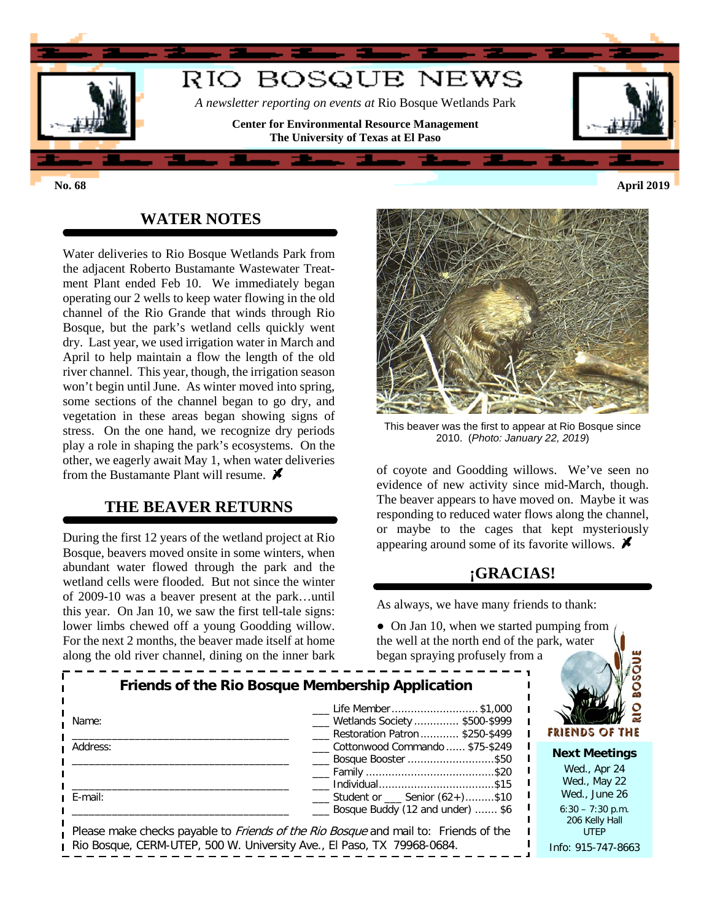

### **WATER NOTES**

Water deliveries to Rio Bosque Wetlands Park from the adjacent Roberto Bustamante Wastewater Treatment Plant ended Feb 10. We immediately began operating our 2 wells to keep water flowing in the old channel of the Rio Grande that winds through Rio Bosque, but the park's wetland cells quickly went dry. Last year, we used irrigation water in March and April to help maintain a flow the length of the old river channel. This year, though, the irrigation season won't begin until June. As winter moved into spring, some sections of the channel began to go dry, and vegetation in these areas began showing signs of stress. On the one hand, we recognize dry periods play a role in shaping the park's ecosystems. On the other, we eagerly await May 1, when water deliveries from the Bustamante Plant will resume.  $\blacktriangleright$ 

### **THE BEAVER RETURNS**

During the first 12 years of the wetland project at Rio Bosque, beavers moved onsite in some winters, when abundant water flowed through the park and the wetland cells were flooded. But not since the winter of 2009-10 was a beaver present at the park…until this year. On Jan 10, we saw the first tell-tale signs: lower limbs chewed off a young Goodding willow. For the next 2 months, the beaver made itself at home along the old river channel, dining on the inner bark



This beaver was the first to appear at Rio Bosque since 2010. (*Photo: January 22, 2019*)

of coyote and Goodding willows. We've seen no evidence of new activity since mid-March, though. The beaver appears to have moved on. Maybe it was responding to reduced water flows along the channel, or maybe to the cages that kept mysteriously appearing around some of its favorite willows.  $\blacktriangleright$ 

## **¡GRACIAS!**

As always, we have many friends to thank:

• On Jan 10, when we started pumping from the well at the north end of the park, water began spraying profusely from a

| Friends of the Rio Bosque Membership Application<br>Name:                                                                                                                         | Life Member \$1,000<br>__ Wetlands Society  \$500-\$999<br>Restoration Patron \$250-\$499                       | FRIENDS OF THE                                                                             |
|-----------------------------------------------------------------------------------------------------------------------------------------------------------------------------------|-----------------------------------------------------------------------------------------------------------------|--------------------------------------------------------------------------------------------|
| Address:                                                                                                                                                                          | Cottonwood Commando  \$75-\$249<br>___ Bosque Booster \$50<br>____ Family ………………………………………\$20<br>Individual\$15 | <b>Next Meetings</b><br>Wed., Apr 24<br>Wed., May 22                                       |
| ı E-mail:<br>Please make checks payable to <i>Friends of the Rio Bosque</i> and mail to: Friends of the<br>Rio Bosque, CERM-UTEP, 500 W. University Ave., El Paso, TX 79968-0684. | Student or Senior (62+)\$10<br>Bosque Buddy (12 and under)  \$6                                                 | Wed., June 26<br>$6:30 - 7:30$ p.m.<br>206 Kelly Hall<br><b>UTEP</b><br>Info: 915-747-8663 |